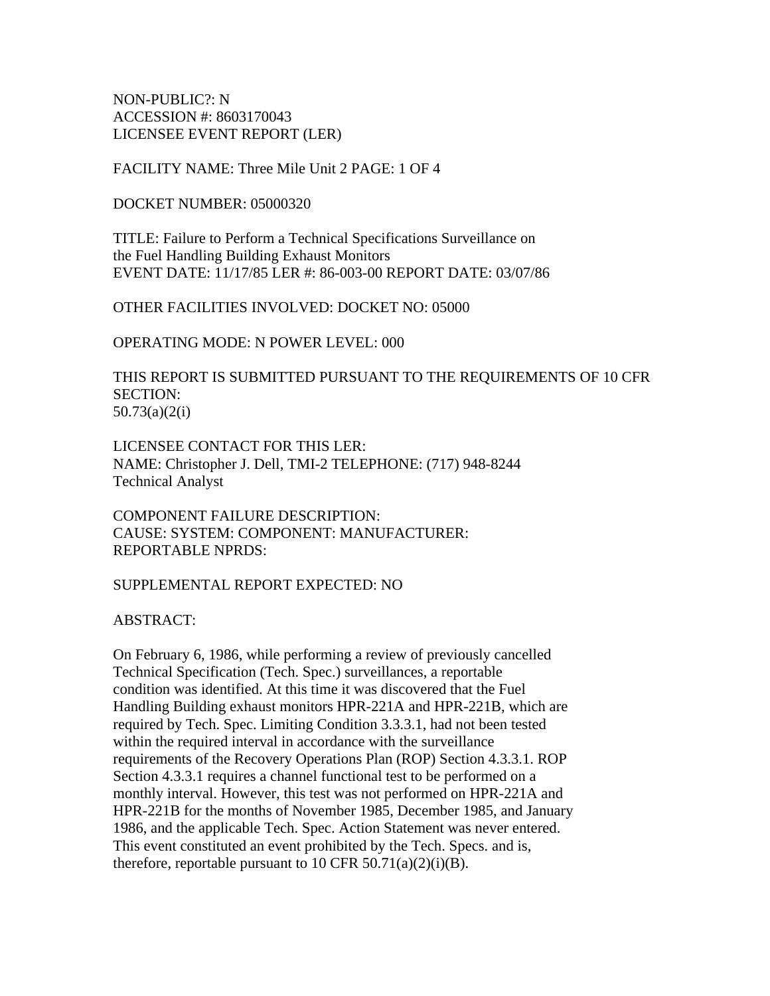NON-PUBLIC?: N ACCESSION #: 8603170043 LICENSEE EVENT REPORT (LER)

FACILITY NAME: Three Mile Unit 2 PAGE: 1 OF 4

DOCKET NUMBER: 05000320

TITLE: Failure to Perform a Technical Specifications Surveillance on the Fuel Handling Building Exhaust Monitors EVENT DATE: 11/17/85 LER #: 86-003-00 REPORT DATE: 03/07/86

OTHER FACILITIES INVOLVED: DOCKET NO: 05000

OPERATING MODE: N POWER LEVEL: 000

THIS REPORT IS SUBMITTED PURSUANT TO THE REQUIREMENTS OF 10 CFR SECTION: 50.73(a)(2(i)

LICENSEE CONTACT FOR THIS LER: NAME: Christopher J. Dell, TMI-2 TELEPHONE: (717) 948-8244 Technical Analyst

COMPONENT FAILURE DESCRIPTION: CAUSE: SYSTEM: COMPONENT: MANUFACTURER: REPORTABLE NPRDS:

SUPPLEMENTAL REPORT EXPECTED: NO

ABSTRACT:

On February 6, 1986, while performing a review of previously cancelled Technical Specification (Tech. Spec.) surveillances, a reportable condition was identified. At this time it was discovered that the Fuel Handling Building exhaust monitors HPR-221A and HPR-221B, which are required by Tech. Spec. Limiting Condition 3.3.3.1, had not been tested within the required interval in accordance with the surveillance requirements of the Recovery Operations Plan (ROP) Section 4.3.3.1. ROP Section 4.3.3.1 requires a channel functional test to be performed on a monthly interval. However, this test was not performed on HPR-221A and HPR-221B for the months of November 1985, December 1985, and January 1986, and the applicable Tech. Spec. Action Statement was never entered. This event constituted an event prohibited by the Tech. Specs. and is, therefore, reportable pursuant to 10 CFR 50.71(a)(2)(i)(B).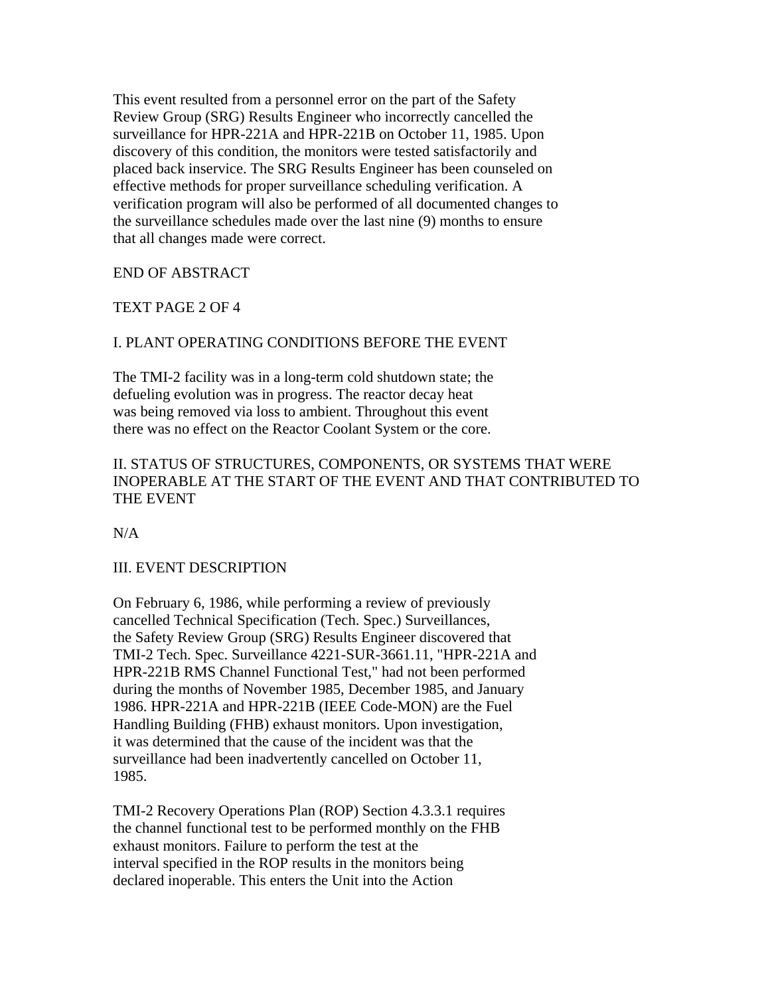This event resulted from a personnel error on the part of the Safety Review Group (SRG) Results Engineer who incorrectly cancelled the surveillance for HPR-221A and HPR-221B on October 11, 1985. Upon discovery of this condition, the monitors were tested satisfactorily and placed back inservice. The SRG Results Engineer has been counseled on effective methods for proper surveillance scheduling verification. A verification program will also be performed of all documented changes to the surveillance schedules made over the last nine (9) months to ensure that all changes made were correct.

## END OF ABSTRACT

## TEXT PAGE 2 OF 4

# I. PLANT OPERATING CONDITIONS BEFORE THE EVENT

The TMI-2 facility was in a long-term cold shutdown state; the defueling evolution was in progress. The reactor decay heat was being removed via loss to ambient. Throughout this event there was no effect on the Reactor Coolant System or the core.

# II. STATUS OF STRUCTURES, COMPONENTS, OR SYSTEMS THAT WERE INOPERABLE AT THE START OF THE EVENT AND THAT CONTRIBUTED TO THE EVENT

N/A

## III. EVENT DESCRIPTION

On February 6, 1986, while performing a review of previously cancelled Technical Specification (Tech. Spec.) Surveillances, the Safety Review Group (SRG) Results Engineer discovered that TMI-2 Tech. Spec. Surveillance 4221-SUR-3661.11, "HPR-221A and HPR-221B RMS Channel Functional Test," had not been performed during the months of November 1985, December 1985, and January 1986. HPR-221A and HPR-221B (IEEE Code-MON) are the Fuel Handling Building (FHB) exhaust monitors. Upon investigation, it was determined that the cause of the incident was that the surveillance had been inadvertently cancelled on October 11, 1985.

TMI-2 Recovery Operations Plan (ROP) Section 4.3.3.1 requires the channel functional test to be performed monthly on the FHB exhaust monitors. Failure to perform the test at the interval specified in the ROP results in the monitors being declared inoperable. This enters the Unit into the Action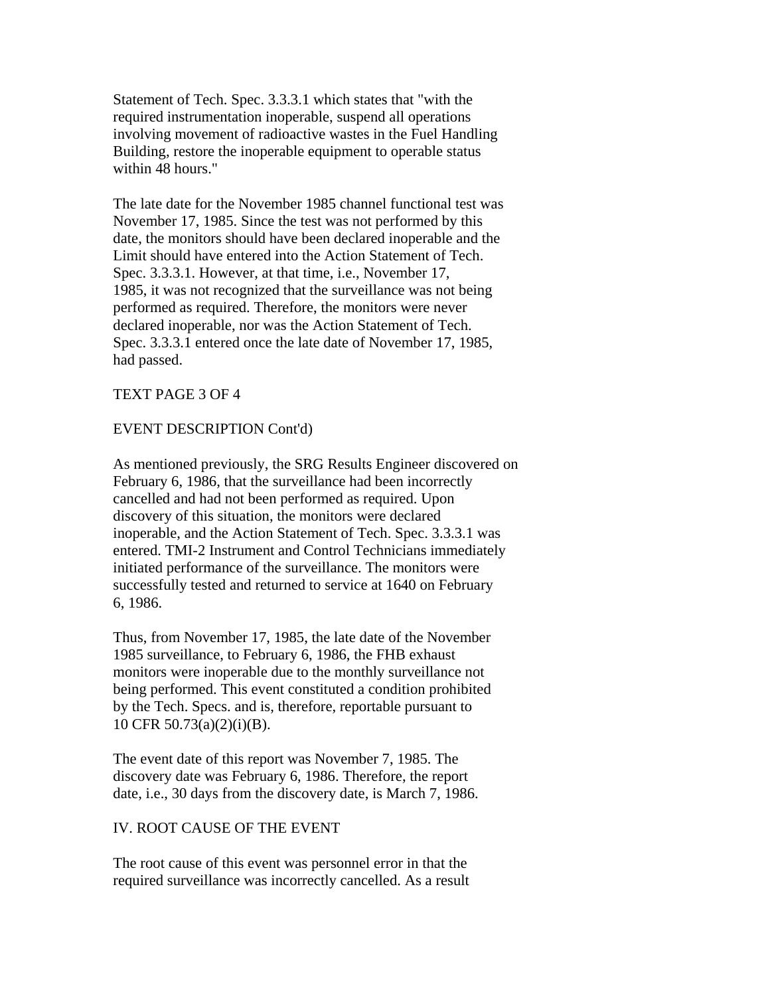Statement of Tech. Spec. 3.3.3.1 which states that "with the required instrumentation inoperable, suspend all operations involving movement of radioactive wastes in the Fuel Handling Building, restore the inoperable equipment to operable status within 48 hours."

The late date for the November 1985 channel functional test was November 17, 1985. Since the test was not performed by this date, the monitors should have been declared inoperable and the Limit should have entered into the Action Statement of Tech. Spec. 3.3.3.1. However, at that time, i.e., November 17, 1985, it was not recognized that the surveillance was not being performed as required. Therefore, the monitors were never declared inoperable, nor was the Action Statement of Tech. Spec. 3.3.3.1 entered once the late date of November 17, 1985, had passed.

## TEXT PAGE 3 OF 4

### EVENT DESCRIPTION Cont'd)

As mentioned previously, the SRG Results Engineer discovered on February 6, 1986, that the surveillance had been incorrectly cancelled and had not been performed as required. Upon discovery of this situation, the monitors were declared inoperable, and the Action Statement of Tech. Spec. 3.3.3.1 was entered. TMI-2 Instrument and Control Technicians immediately initiated performance of the surveillance. The monitors were successfully tested and returned to service at 1640 on February 6, 1986.

Thus, from November 17, 1985, the late date of the November 1985 surveillance, to February 6, 1986, the FHB exhaust monitors were inoperable due to the monthly surveillance not being performed. This event constituted a condition prohibited by the Tech. Specs. and is, therefore, reportable pursuant to 10 CFR 50.73(a)(2)(i)(B).

The event date of this report was November 7, 1985. The discovery date was February 6, 1986. Therefore, the report date, i.e., 30 days from the discovery date, is March 7, 1986.

#### IV. ROOT CAUSE OF THE EVENT

The root cause of this event was personnel error in that the required surveillance was incorrectly cancelled. As a result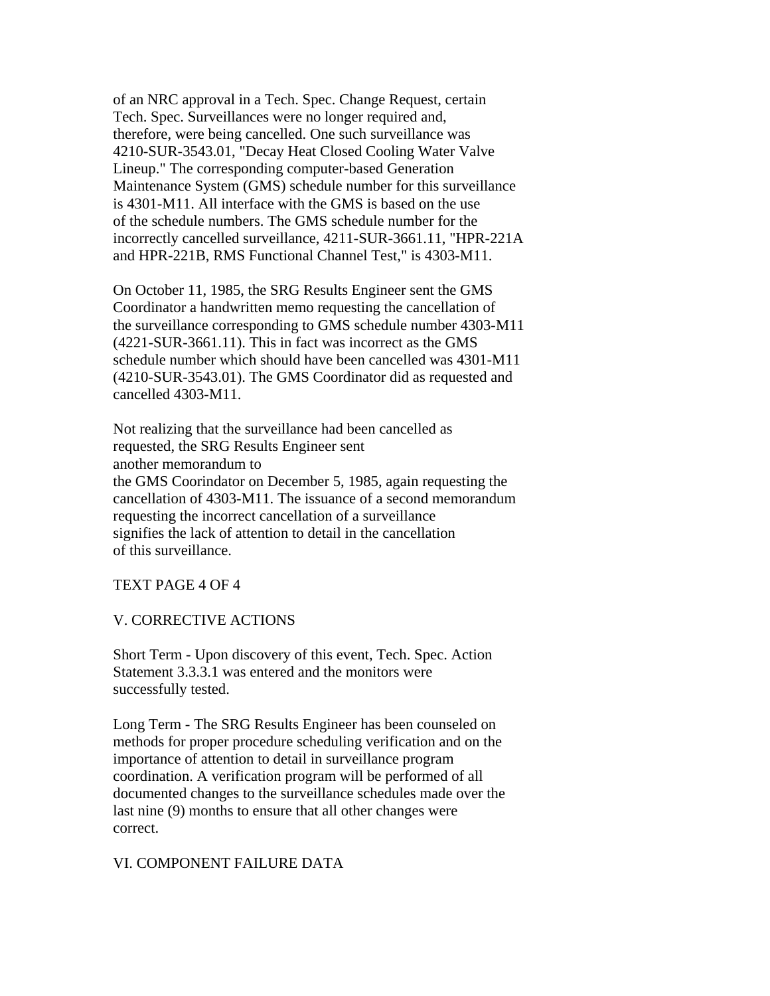of an NRC approval in a Tech. Spec. Change Request, certain Tech. Spec. Surveillances were no longer required and, therefore, were being cancelled. One such surveillance was 4210-SUR-3543.01, "Decay Heat Closed Cooling Water Valve Lineup." The corresponding computer-based Generation Maintenance System (GMS) schedule number for this surveillance is 4301-M11. All interface with the GMS is based on the use of the schedule numbers. The GMS schedule number for the incorrectly cancelled surveillance, 4211-SUR-3661.11, "HPR-221A and HPR-221B, RMS Functional Channel Test," is 4303-M11.

On October 11, 1985, the SRG Results Engineer sent the GMS Coordinator a handwritten memo requesting the cancellation of the surveillance corresponding to GMS schedule number 4303-M11 (4221-SUR-3661.11). This in fact was incorrect as the GMS schedule number which should have been cancelled was 4301-M11 (4210-SUR-3543.01). The GMS Coordinator did as requested and cancelled 4303-M11.

Not realizing that the surveillance had been cancelled as requested, the SRG Results Engineer sent another memorandum to the GMS Coorindator on December 5, 1985, again requesting the cancellation of 4303-M11. The issuance of a second memorandum requesting the incorrect cancellation of a surveillance signifies the lack of attention to detail in the cancellation of this surveillance.

#### TEXT PAGE 4 OF 4

#### V. CORRECTIVE ACTIONS

Short Term - Upon discovery of this event, Tech. Spec. Action Statement 3.3.3.1 was entered and the monitors were successfully tested.

Long Term - The SRG Results Engineer has been counseled on methods for proper procedure scheduling verification and on the importance of attention to detail in surveillance program coordination. A verification program will be performed of all documented changes to the surveillance schedules made over the last nine (9) months to ensure that all other changes were correct.

#### VI. COMPONENT FAILURE DATA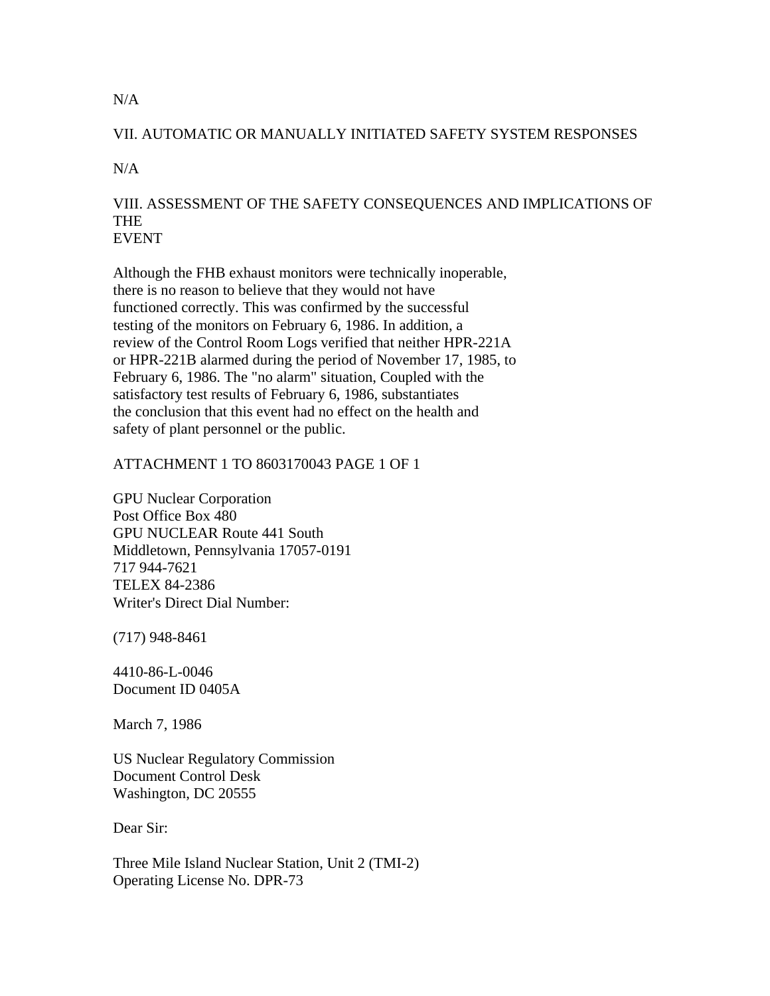# VII. AUTOMATIC OR MANUALLY INITIATED SAFETY SYSTEM RESPONSES

 $N/A$ 

# VIII. ASSESSMENT OF THE SAFETY CONSEQUENCES AND IMPLICATIONS OF THE EVENT

Although the FHB exhaust monitors were technically inoperable, there is no reason to believe that they would not have functioned correctly. This was confirmed by the successful testing of the monitors on February 6, 1986. In addition, a review of the Control Room Logs verified that neither HPR-221A or HPR-221B alarmed during the period of November 17, 1985, to February 6, 1986. The "no alarm" situation, Coupled with the satisfactory test results of February 6, 1986, substantiates the conclusion that this event had no effect on the health and safety of plant personnel or the public.

# ATTACHMENT 1 TO 8603170043 PAGE 1 OF 1

GPU Nuclear Corporation Post Office Box 480 GPU NUCLEAR Route 441 South Middletown, Pennsylvania 17057-0191 717 944-7621 TELEX 84-2386 Writer's Direct Dial Number:

(717) 948-8461

4410-86-L-0046 Document ID 0405A

March 7, 1986

US Nuclear Regulatory Commission Document Control Desk Washington, DC 20555

Dear Sir:

Three Mile Island Nuclear Station, Unit 2 (TMI-2) Operating License No. DPR-73

 $N/A$